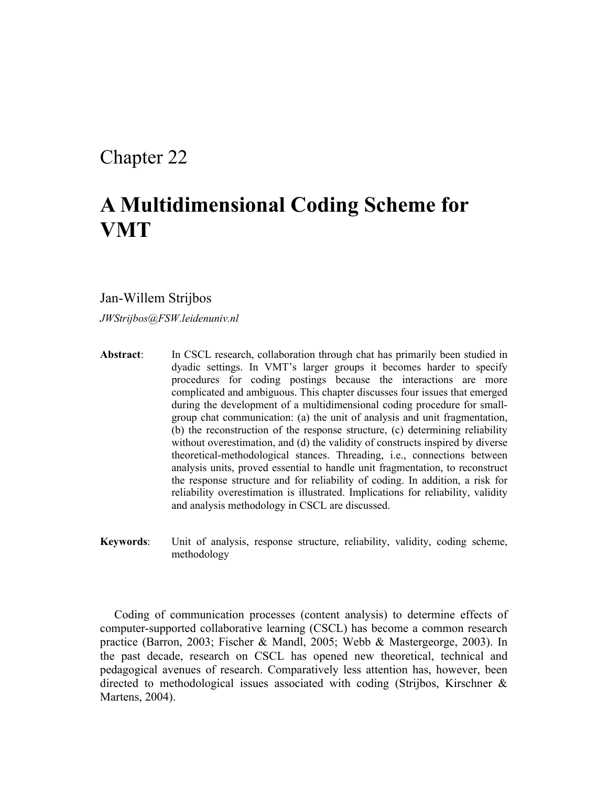# Chapter 22

# **A Multidimensional Coding Scheme for VMT**

### Jan-Willem Strijbos

*JWStrijbos@FSW.leidenuniv.nl*

- **Abstract**: In CSCL research, collaboration through chat has primarily been studied in dyadic settings. In VMT's larger groups it becomes harder to specify procedures for coding postings because the interactions are more complicated and ambiguous. This chapter discusses four issues that emerged during the development of a multidimensional coding procedure for smallgroup chat communication: (a) the unit of analysis and unit fragmentation, (b) the reconstruction of the response structure, (c) determining reliability without overestimation, and (d) the validity of constructs inspired by diverse theoretical-methodological stances. Threading, i.e., connections between analysis units, proved essential to handle unit fragmentation, to reconstruct the response structure and for reliability of coding. In addition, a risk for reliability overestimation is illustrated. Implications for reliability, validity and analysis methodology in CSCL are discussed.
- **Keywords**: Unit of analysis, response structure, reliability, validity, coding scheme, methodology

Coding of communication processes (content analysis) to determine effects of computer-supported collaborative learning (CSCL) has become a common research practice (Barron, 2003; Fischer & Mandl, 2005; Webb & Mastergeorge, 2003). In the past decade, research on CSCL has opened new theoretical, technical and pedagogical avenues of research. Comparatively less attention has, however, been directed to methodological issues associated with coding (Strijbos, Kirschner & Martens, 2004).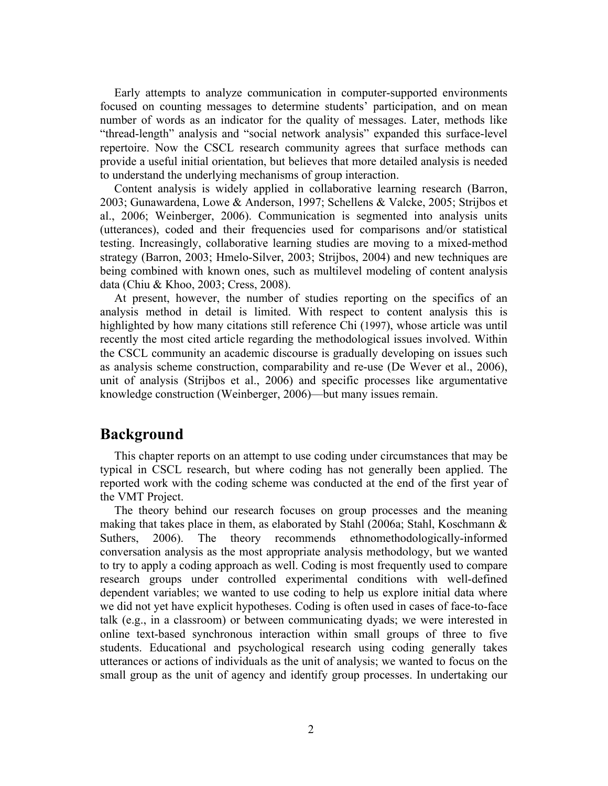Early attempts to analyze communication in computer-supported environments focused on counting messages to determine students' participation, and on mean number of words as an indicator for the quality of messages. Later, methods like "thread-length" analysis and "social network analysis" expanded this surface-level repertoire. Now the CSCL research community agrees that surface methods can provide a useful initial orientation, but believes that more detailed analysis is needed to understand the underlying mechanisms of group interaction.

Content analysis is widely applied in collaborative learning research (Barron, 2003; Gunawardena, Lowe & Anderson, 1997; Schellens & Valcke, 2005; Strijbos et al., 2006; Weinberger, 2006). Communication is segmented into analysis units (utterances), coded and their frequencies used for comparisons and/or statistical testing. Increasingly, collaborative learning studies are moving to a mixed-method strategy (Barron, 2003; Hmelo-Silver, 2003; Strijbos, 2004) and new techniques are being combined with known ones, such as multilevel modeling of content analysis data (Chiu & Khoo, 2003; Cress, 2008).

At present, however, the number of studies reporting on the specifics of an analysis method in detail is limited. With respect to content analysis this is highlighted by how many citations still reference Chi (1997), whose article was until recently the most cited article regarding the methodological issues involved. Within the CSCL community an academic discourse is gradually developing on issues such as analysis scheme construction, comparability and re-use (De Wever et al., 2006), unit of analysis (Strijbos et al., 2006) and specific processes like argumentative knowledge construction (Weinberger, 2006)—but many issues remain.

### **Background**

This chapter reports on an attempt to use coding under circumstances that may be typical in CSCL research, but where coding has not generally been applied. The reported work with the coding scheme was conducted at the end of the first year of the VMT Project.

The theory behind our research focuses on group processes and the meaning making that takes place in them, as elaborated by Stahl (2006a; Stahl, Koschmann & Suthers, 2006). The theory recommends ethnomethodologically-informed conversation analysis as the most appropriate analysis methodology, but we wanted to try to apply a coding approach as well. Coding is most frequently used to compare research groups under controlled experimental conditions with well-defined dependent variables; we wanted to use coding to help us explore initial data where we did not yet have explicit hypotheses. Coding is often used in cases of face-to-face talk (e.g., in a classroom) or between communicating dyads; we were interested in online text-based synchronous interaction within small groups of three to five students. Educational and psychological research using coding generally takes utterances or actions of individuals as the unit of analysis; we wanted to focus on the small group as the unit of agency and identify group processes. In undertaking our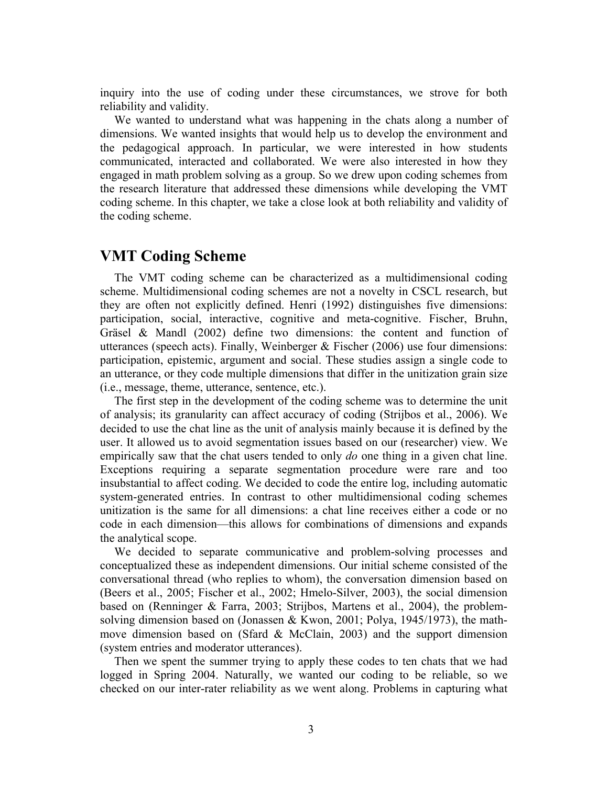inquiry into the use of coding under these circumstances, we strove for both reliability and validity.

We wanted to understand what was happening in the chats along a number of dimensions. We wanted insights that would help us to develop the environment and the pedagogical approach. In particular, we were interested in how students communicated, interacted and collaborated. We were also interested in how they engaged in math problem solving as a group. So we drew upon coding schemes from the research literature that addressed these dimensions while developing the VMT coding scheme. In this chapter, we take a close look at both reliability and validity of the coding scheme.

# **VMT Coding Scheme**

The VMT coding scheme can be characterized as a multidimensional coding scheme. Multidimensional coding schemes are not a novelty in CSCL research, but they are often not explicitly defined. Henri (1992) distinguishes five dimensions: participation, social, interactive, cognitive and meta-cognitive. Fischer, Bruhn, Gräsel & Mandl (2002) define two dimensions: the content and function of utterances (speech acts). Finally, Weinberger & Fischer (2006) use four dimensions: participation, epistemic, argument and social. These studies assign a single code to an utterance, or they code multiple dimensions that differ in the unitization grain size (i.e., message, theme, utterance, sentence, etc.).

The first step in the development of the coding scheme was to determine the unit of analysis; its granularity can affect accuracy of coding (Strijbos et al., 2006). We decided to use the chat line as the unit of analysis mainly because it is defined by the user. It allowed us to avoid segmentation issues based on our (researcher) view. We empirically saw that the chat users tended to only *do* one thing in a given chat line. Exceptions requiring a separate segmentation procedure were rare and too insubstantial to affect coding. We decided to code the entire log, including automatic system-generated entries. In contrast to other multidimensional coding schemes unitization is the same for all dimensions: a chat line receives either a code or no code in each dimension—this allows for combinations of dimensions and expands the analytical scope.

We decided to separate communicative and problem-solving processes and conceptualized these as independent dimensions. Our initial scheme consisted of the conversational thread (who replies to whom), the conversation dimension based on (Beers et al., 2005; Fischer et al., 2002; Hmelo-Silver, 2003), the social dimension based on (Renninger & Farra, 2003; Strijbos, Martens et al., 2004), the problemsolving dimension based on (Jonassen & Kwon, 2001; Polya, 1945/1973), the mathmove dimension based on (Sfard & McClain, 2003) and the support dimension (system entries and moderator utterances).

Then we spent the summer trying to apply these codes to ten chats that we had logged in Spring 2004. Naturally, we wanted our coding to be reliable, so we checked on our inter-rater reliability as we went along. Problems in capturing what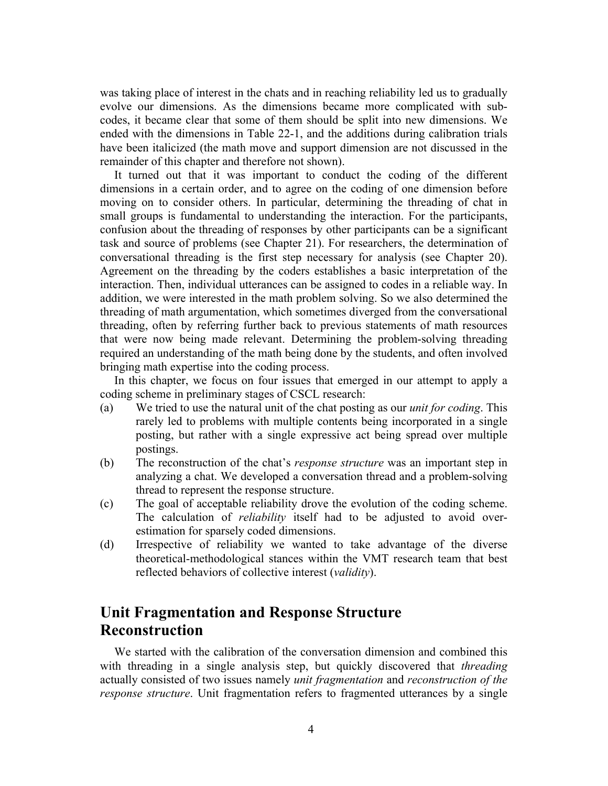was taking place of interest in the chats and in reaching reliability led us to gradually evolve our dimensions. As the dimensions became more complicated with subcodes, it became clear that some of them should be split into new dimensions. We ended with the dimensions in Table 22-1, and the additions during calibration trials have been italicized (the math move and support dimension are not discussed in the remainder of this chapter and therefore not shown).

It turned out that it was important to conduct the coding of the different dimensions in a certain order, and to agree on the coding of one dimension before moving on to consider others. In particular, determining the threading of chat in small groups is fundamental to understanding the interaction. For the participants, confusion about the threading of responses by other participants can be a significant task and source of problems (see Chapter 21). For researchers, the determination of conversational threading is the first step necessary for analysis (see Chapter 20). Agreement on the threading by the coders establishes a basic interpretation of the interaction. Then, individual utterances can be assigned to codes in a reliable way. In addition, we were interested in the math problem solving. So we also determined the threading of math argumentation, which sometimes diverged from the conversational threading, often by referring further back to previous statements of math resources that were now being made relevant. Determining the problem-solving threading required an understanding of the math being done by the students, and often involved bringing math expertise into the coding process.

In this chapter, we focus on four issues that emerged in our attempt to apply a coding scheme in preliminary stages of CSCL research:

- (a) We tried to use the natural unit of the chat posting as our *unit for coding*. This rarely led to problems with multiple contents being incorporated in a single posting, but rather with a single expressive act being spread over multiple postings.
- (b) The reconstruction of the chat's *response structure* was an important step in analyzing a chat. We developed a conversation thread and a problem-solving thread to represent the response structure.
- (c) The goal of acceptable reliability drove the evolution of the coding scheme. The calculation of *reliability* itself had to be adjusted to avoid overestimation for sparsely coded dimensions.
- (d) Irrespective of reliability we wanted to take advantage of the diverse theoretical-methodological stances within the VMT research team that best reflected behaviors of collective interest (*validity*).

# **Unit Fragmentation and Response Structure Reconstruction**

We started with the calibration of the conversation dimension and combined this with threading in a single analysis step, but quickly discovered that *threading* actually consisted of two issues namely *unit fragmentation* and *reconstruction of the response structure*. Unit fragmentation refers to fragmented utterances by a single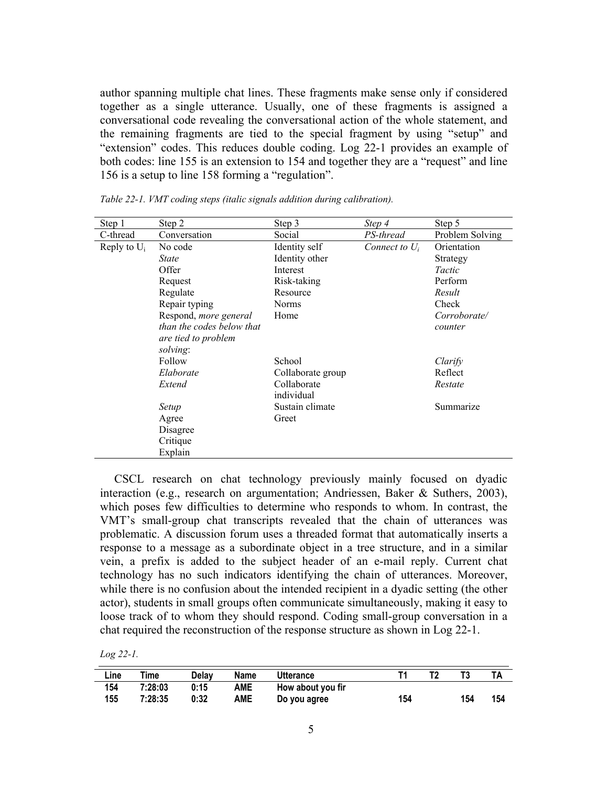author spanning multiple chat lines. These fragments make sense only if considered together as a single utterance. Usually, one of these fragments is assigned a conversational code revealing the conversational action of the whole statement, and the remaining fragments are tied to the special fragment by using "setup" and "extension" codes. This reduces double coding. Log 22-1 provides an example of both codes: line 155 is an extension to 154 and together they are a "request" and line 156 is a setup to line 158 forming a "regulation".

| Step 1         | Step 2                    | Step 3            | Step 4           | Step 5          |
|----------------|---------------------------|-------------------|------------------|-----------------|
| C-thread       | Conversation              | Social            | PS-thread        | Problem Solving |
| Reply to $U_i$ | No code                   | Identity self     | Connect to $U_i$ | Orientation     |
|                | <i>State</i>              | Identity other    |                  | Strategy        |
|                | Offer                     | Interest          |                  | Tactic          |
|                | Request                   | Risk-taking       |                  | Perform         |
|                | Regulate                  | Resource          |                  | Result          |
|                | Repair typing             | <b>Norms</b>      |                  | Check           |
|                | Respond, more general     | Home              |                  | Corroborate/    |
|                | than the codes below that |                   |                  | counter         |
|                | are tied to problem       |                   |                  |                 |
|                | solving:                  |                   |                  |                 |
|                | Follow                    | School            |                  | Clarify         |
|                | Elaborate                 | Collaborate group |                  | Reflect         |
|                | Extend                    | Collaborate       |                  | Restate         |
|                |                           | individual        |                  |                 |
|                | Setup                     | Sustain climate   |                  | Summarize       |
|                | Agree                     | Greet             |                  |                 |
|                | Disagree                  |                   |                  |                 |
|                | Critique                  |                   |                  |                 |
|                | Explain                   |                   |                  |                 |

*Table 22-1. VMT coding steps (italic signals addition during calibration).*

CSCL research on chat technology previously mainly focused on dyadic interaction (e.g., research on argumentation; Andriessen, Baker & Suthers, 2003), which poses few difficulties to determine who responds to whom. In contrast, the VMT's small-group chat transcripts revealed that the chain of utterances was problematic. A discussion forum uses a threaded format that automatically inserts a response to a message as a subordinate object in a tree structure, and in a similar vein, a prefix is added to the subject header of an e-mail reply. Current chat technology has no such indicators identifying the chain of utterances. Moreover, while there is no confusion about the intended recipient in a dyadic setting (the other actor), students in small groups often communicate simultaneously, making it easy to loose track of to whom they should respond. Coding small-group conversation in a chat required the reconstruction of the response structure as shown in Log 22-1.

*Log 22-1.*

| Line | Time    | Delav | Name       | <b>Utterance</b>  |     |     | TA  |
|------|---------|-------|------------|-------------------|-----|-----|-----|
| 154  | 7:28:03 | 0:15  | <b>AME</b> | How about you fir |     |     |     |
| 155  | 7:28:35 | 0:32  | AME        | Do you agree      | 154 | 154 | 154 |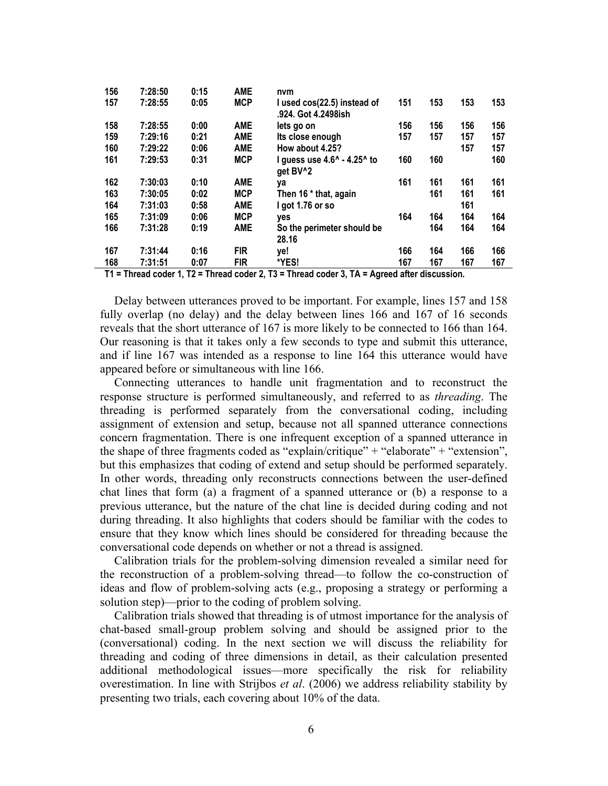| 156 | 7:28:50 | 0:15 | <b>AME</b> | nvm                                                 |     |     |     |     |
|-----|---------|------|------------|-----------------------------------------------------|-----|-----|-----|-----|
| 157 | 7:28:55 | 0:05 | <b>MCP</b> | I used cos(22.5) instead of<br>.924. Got 4.2498ish  | 151 | 153 | 153 | 153 |
| 158 | 7:28:55 | 0:00 | <b>AME</b> | lets go on                                          | 156 | 156 | 156 | 156 |
| 159 | 7:29:16 | 0:21 | <b>AME</b> | Its close enough                                    | 157 | 157 | 157 | 157 |
| 160 | 7:29:22 | 0:06 | <b>AME</b> | How about 4.25?                                     |     |     | 157 | 157 |
| 161 | 7:29:53 | 0:31 | <b>MCP</b> | l guess use 4.6^ - 4.25^ to<br>get BV <sup>^2</sup> | 160 | 160 |     | 160 |
| 162 | 7:30:03 | 0:10 | <b>AME</b> | ya                                                  | 161 | 161 | 161 | 161 |
| 163 | 7:30:05 | 0:02 | <b>MCP</b> | Then 16 <sup>*</sup> that, again                    |     | 161 | 161 | 161 |
| 164 | 7:31:03 | 0:58 | <b>AME</b> | I got 1.76 or so                                    |     |     | 161 |     |
| 165 | 7:31:09 | 0:06 | <b>MCP</b> | <b>ves</b>                                          | 164 | 164 | 164 | 164 |
| 166 | 7:31:28 | 0:19 | AME        | So the perimeter should be                          |     | 164 | 164 | 164 |
|     |         |      |            | 28.16                                               |     |     |     |     |
| 167 | 7:31:44 | 0:16 | <b>FIR</b> | ye!                                                 | 166 | 164 | 166 | 166 |
| 168 | 7:31:51 | 0:07 | <b>FIR</b> | *YES!                                               | 167 | 167 | 167 | 167 |

**T1 = Thread coder 1, T2 = Thread coder 2, T3 = Thread coder 3, TA = Agreed after discussion.**

Delay between utterances proved to be important. For example, lines 157 and 158 fully overlap (no delay) and the delay between lines 166 and 167 of 16 seconds reveals that the short utterance of 167 is more likely to be connected to 166 than 164. Our reasoning is that it takes only a few seconds to type and submit this utterance, and if line 167 was intended as a response to line 164 this utterance would have appeared before or simultaneous with line 166.

Connecting utterances to handle unit fragmentation and to reconstruct the response structure is performed simultaneously, and referred to as *threading*. The threading is performed separately from the conversational coding, including assignment of extension and setup, because not all spanned utterance connections concern fragmentation. There is one infrequent exception of a spanned utterance in the shape of three fragments coded as "explain/critique" + "elaborate" + "extension", but this emphasizes that coding of extend and setup should be performed separately. In other words, threading only reconstructs connections between the user-defined chat lines that form (a) a fragment of a spanned utterance or (b) a response to a previous utterance, but the nature of the chat line is decided during coding and not during threading. It also highlights that coders should be familiar with the codes to ensure that they know which lines should be considered for threading because the conversational code depends on whether or not a thread is assigned.

Calibration trials for the problem-solving dimension revealed a similar need for the reconstruction of a problem-solving thread—to follow the co-construction of ideas and flow of problem-solving acts (e.g., proposing a strategy or performing a solution step)—prior to the coding of problem solving.

Calibration trials showed that threading is of utmost importance for the analysis of chat-based small-group problem solving and should be assigned prior to the (conversational) coding. In the next section we will discuss the reliability for threading and coding of three dimensions in detail, as their calculation presented additional methodological issues—more specifically the risk for reliability overestimation. In line with Strijbos *et al*. (2006) we address reliability stability by presenting two trials, each covering about 10% of the data.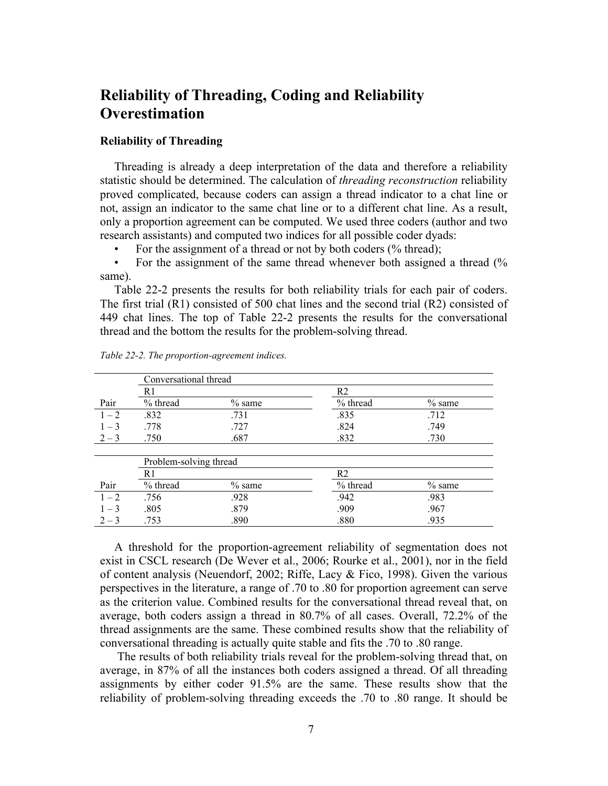# **Reliability of Threading, Coding and Reliability Overestimation**

#### **Reliability of Threading**

Threading is already a deep interpretation of the data and therefore a reliability statistic should be determined. The calculation of *threading reconstruction* reliability proved complicated, because coders can assign a thread indicator to a chat line or not, assign an indicator to the same chat line or to a different chat line. As a result, only a proportion agreement can be computed. We used three coders (author and two research assistants) and computed two indices for all possible coder dyads:

For the assignment of a thread or not by both coders (% thread);

• For the assignment of the same thread whenever both assigned a thread (% same).

Table 22-2 presents the results for both reliability trials for each pair of coders. The first trial (R1) consisted of 500 chat lines and the second trial (R2) consisted of 449 chat lines. The top of Table 22-2 presents the results for the conversational thread and the bottom the results for the problem-solving thread.

|         | Conversational thread  |          |                |          |  |  |  |  |  |  |
|---------|------------------------|----------|----------------|----------|--|--|--|--|--|--|
|         | R <sub>1</sub>         |          | R <sub>2</sub> |          |  |  |  |  |  |  |
| Pair    | % thread               | $%$ same | % thread       | $%$ same |  |  |  |  |  |  |
| $1 - 2$ | .832                   | .731     | .835           | .712     |  |  |  |  |  |  |
| $1 - 3$ | .778                   | .727     | .824           | .749     |  |  |  |  |  |  |
| $2 - 3$ | .687<br>.750           |          | .832           | .730     |  |  |  |  |  |  |
|         |                        |          |                |          |  |  |  |  |  |  |
|         | Problem-solving thread |          |                |          |  |  |  |  |  |  |
|         | R1                     |          | R2             |          |  |  |  |  |  |  |
| Pair    | % thread               | $%$ same | % thread       | $%$ same |  |  |  |  |  |  |
| $1 - 2$ | .756                   | .928     | .942           | .983     |  |  |  |  |  |  |
| $1 - 3$ | .805                   | .879     | .909           | .967     |  |  |  |  |  |  |
| $2 - 3$ | .753                   | .890     | .880           | .935     |  |  |  |  |  |  |

*Table 22-2. The proportion-agreement indices.*

A threshold for the proportion-agreement reliability of segmentation does not exist in CSCL research (De Wever et al., 2006; Rourke et al., 2001), nor in the field of content analysis (Neuendorf, 2002; Riffe, Lacy & Fico, 1998). Given the various perspectives in the literature, a range of .70 to .80 for proportion agreement can serve as the criterion value. Combined results for the conversational thread reveal that, on average, both coders assign a thread in 80.7% of all cases. Overall, 72.2% of the thread assignments are the same. These combined results show that the reliability of conversational threading is actually quite stable and fits the .70 to .80 range.

 The results of both reliability trials reveal for the problem-solving thread that, on average, in 87% of all the instances both coders assigned a thread. Of all threading assignments by either coder 91.5% are the same. These results show that the reliability of problem-solving threading exceeds the .70 to .80 range. It should be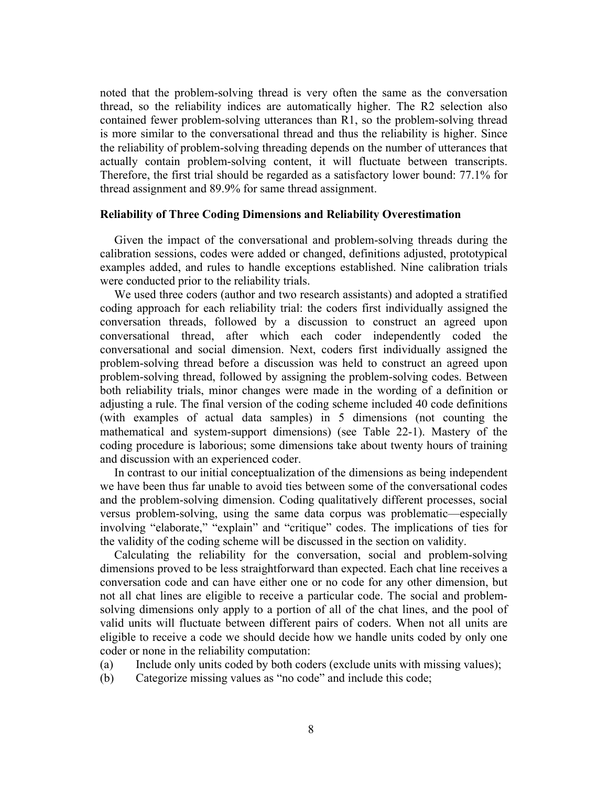noted that the problem-solving thread is very often the same as the conversation thread, so the reliability indices are automatically higher. The R2 selection also contained fewer problem-solving utterances than R1, so the problem-solving thread is more similar to the conversational thread and thus the reliability is higher. Since the reliability of problem-solving threading depends on the number of utterances that actually contain problem-solving content, it will fluctuate between transcripts. Therefore, the first trial should be regarded as a satisfactory lower bound: 77.1% for thread assignment and 89.9% for same thread assignment.

#### **Reliability of Three Coding Dimensions and Reliability Overestimation**

Given the impact of the conversational and problem-solving threads during the calibration sessions, codes were added or changed, definitions adjusted, prototypical examples added, and rules to handle exceptions established. Nine calibration trials were conducted prior to the reliability trials.

We used three coders (author and two research assistants) and adopted a stratified coding approach for each reliability trial: the coders first individually assigned the conversation threads, followed by a discussion to construct an agreed upon conversational thread, after which each coder independently coded the conversational and social dimension. Next, coders first individually assigned the problem-solving thread before a discussion was held to construct an agreed upon problem-solving thread, followed by assigning the problem-solving codes. Between both reliability trials, minor changes were made in the wording of a definition or adjusting a rule. The final version of the coding scheme included 40 code definitions (with examples of actual data samples) in 5 dimensions (not counting the mathematical and system-support dimensions) (see Table 22-1). Mastery of the coding procedure is laborious; some dimensions take about twenty hours of training and discussion with an experienced coder.

In contrast to our initial conceptualization of the dimensions as being independent we have been thus far unable to avoid ties between some of the conversational codes and the problem-solving dimension. Coding qualitatively different processes, social versus problem-solving, using the same data corpus was problematic—especially involving "elaborate," "explain" and "critique" codes. The implications of ties for the validity of the coding scheme will be discussed in the section on validity.

Calculating the reliability for the conversation, social and problem-solving dimensions proved to be less straightforward than expected. Each chat line receives a conversation code and can have either one or no code for any other dimension, but not all chat lines are eligible to receive a particular code. The social and problemsolving dimensions only apply to a portion of all of the chat lines, and the pool of valid units will fluctuate between different pairs of coders. When not all units are eligible to receive a code we should decide how we handle units coded by only one coder or none in the reliability computation:

- (a) Include only units coded by both coders (exclude units with missing values);
- (b) Categorize missing values as "no code" and include this code;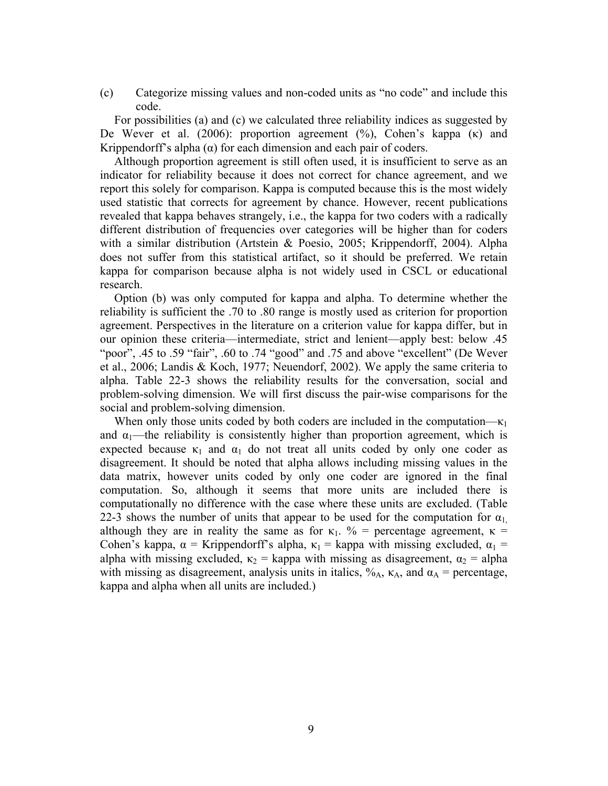(c) Categorize missing values and non-coded units as "no code" and include this code.

For possibilities (a) and (c) we calculated three reliability indices as suggested by De Wever et al. (2006): proportion agreement (%), Cohen's kappa (κ) and Krippendorff's alpha  $(\alpha)$  for each dimension and each pair of coders.

Although proportion agreement is still often used, it is insufficient to serve as an indicator for reliability because it does not correct for chance agreement, and we report this solely for comparison. Kappa is computed because this is the most widely used statistic that corrects for agreement by chance. However, recent publications revealed that kappa behaves strangely, i.e., the kappa for two coders with a radically different distribution of frequencies over categories will be higher than for coders with a similar distribution (Artstein & Poesio, 2005; Krippendorff, 2004). Alpha does not suffer from this statistical artifact, so it should be preferred. We retain kappa for comparison because alpha is not widely used in CSCL or educational research.

Option (b) was only computed for kappa and alpha. To determine whether the reliability is sufficient the .70 to .80 range is mostly used as criterion for proportion agreement. Perspectives in the literature on a criterion value for kappa differ, but in our opinion these criteria—intermediate, strict and lenient—apply best: below .45 "poor", .45 to .59 "fair", .60 to .74 "good" and .75 and above "excellent" (De Wever et al., 2006; Landis & Koch, 1977; Neuendorf, 2002). We apply the same criteria to alpha. Table 22-3 shows the reliability results for the conversation, social and problem-solving dimension. We will first discuss the pair-wise comparisons for the social and problem-solving dimension.

When only those units coded by both coders are included in the computation— $\kappa_1$ and  $\alpha_1$ —the reliability is consistently higher than proportion agreement, which is expected because  $\kappa_1$  and  $\alpha_1$  do not treat all units coded by only one coder as disagreement. It should be noted that alpha allows including missing values in the data matrix, however units coded by only one coder are ignored in the final computation. So, although it seems that more units are included there is computationally no difference with the case where these units are excluded. (Table 22-3 shows the number of units that appear to be used for the computation for  $\alpha_1$ although they are in reality the same as for  $\kappa_1$ .  $\%$  = percentage agreement,  $\kappa$  = Cohen's kappa,  $\alpha$  = Krippendorff's alpha,  $\kappa_1$  = kappa with missing excluded,  $\alpha_1$  = alpha with missing excluded,  $\kappa_2$  = kappa with missing as disagreement,  $\alpha_2$  = alpha with missing as disagreement, analysis units in italics,  $\%_{A}$ ,  $\kappa_A$ , and  $\alpha_A$  = percentage, kappa and alpha when all units are included.)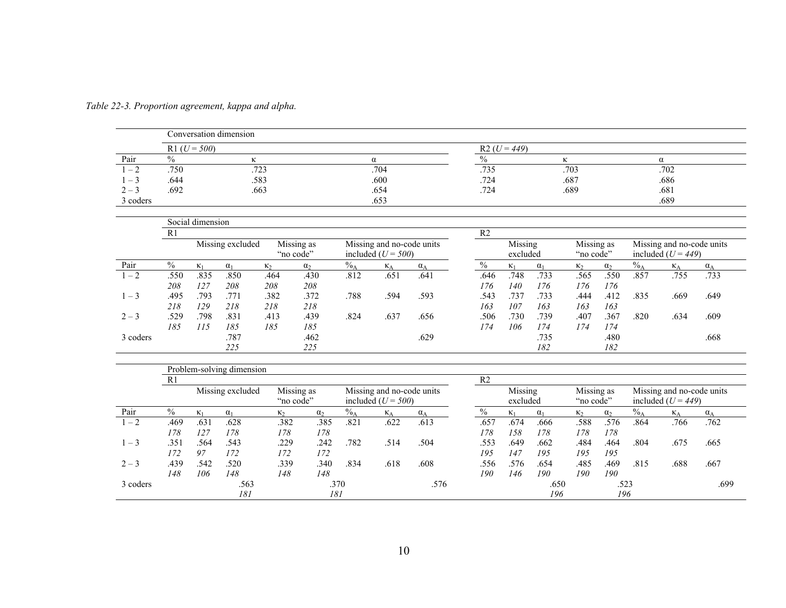| $\frac{0}{6}$  |                                                           |                                  |                                                                                 |                                                                                                                 |                                                                                         |                                             |                                                        | $\frac{0}{0}$                                                                                                                  |                               |                                             |                                                                                      |                                         |                                                                                  |                                                            |                                                                                                                                             |
|----------------|-----------------------------------------------------------|----------------------------------|---------------------------------------------------------------------------------|-----------------------------------------------------------------------------------------------------------------|-----------------------------------------------------------------------------------------|---------------------------------------------|--------------------------------------------------------|--------------------------------------------------------------------------------------------------------------------------------|-------------------------------|---------------------------------------------|--------------------------------------------------------------------------------------|-----------------------------------------|----------------------------------------------------------------------------------|------------------------------------------------------------|---------------------------------------------------------------------------------------------------------------------------------------------|
| .750           |                                                           |                                  |                                                                                 |                                                                                                                 |                                                                                         | .704                                        |                                                        | .735                                                                                                                           |                               |                                             |                                                                                      |                                         | .702                                                                             |                                                            |                                                                                                                                             |
| .644           |                                                           |                                  |                                                                                 |                                                                                                                 |                                                                                         |                                             |                                                        | .724                                                                                                                           |                               |                                             |                                                                                      |                                         | .686                                                                             |                                                            |                                                                                                                                             |
| .692           |                                                           |                                  |                                                                                 |                                                                                                                 |                                                                                         |                                             |                                                        | .724                                                                                                                           |                               |                                             |                                                                                      |                                         |                                                                                  |                                                            |                                                                                                                                             |
|                |                                                           |                                  |                                                                                 |                                                                                                                 |                                                                                         |                                             |                                                        |                                                                                                                                |                               |                                             |                                                                                      |                                         |                                                                                  |                                                            |                                                                                                                                             |
|                |                                                           |                                  |                                                                                 |                                                                                                                 |                                                                                         |                                             |                                                        |                                                                                                                                |                               |                                             |                                                                                      |                                         |                                                                                  |                                                            |                                                                                                                                             |
|                |                                                           |                                  |                                                                                 |                                                                                                                 |                                                                                         |                                             |                                                        | R <sub>2</sub>                                                                                                                 |                               |                                             |                                                                                      |                                         |                                                                                  |                                                            |                                                                                                                                             |
|                |                                                           |                                  |                                                                                 |                                                                                                                 |                                                                                         |                                             |                                                        |                                                                                                                                |                               |                                             |                                                                                      |                                         |                                                                                  |                                                            |                                                                                                                                             |
|                |                                                           |                                  |                                                                                 |                                                                                                                 |                                                                                         |                                             |                                                        |                                                                                                                                |                               |                                             |                                                                                      |                                         |                                                                                  |                                                            | $\alpha_A$                                                                                                                                  |
| .550           | .835                                                      |                                  | .464                                                                            |                                                                                                                 | .812                                                                                    | .651                                        | .641                                                   | .646                                                                                                                           | .748                          |                                             | .565                                                                                 |                                         | .857                                                                             | .755                                                       | .733                                                                                                                                        |
| 208            |                                                           |                                  |                                                                                 |                                                                                                                 |                                                                                         |                                             |                                                        | 176                                                                                                                            |                               | 176                                         | 176                                                                                  | 176                                     |                                                                                  |                                                            |                                                                                                                                             |
| .495           | .793                                                      | .771                             | .382                                                                            | .372                                                                                                            | .788                                                                                    | .594                                        | .593                                                   | .543                                                                                                                           | .737                          | .733                                        | .444                                                                                 | .412                                    | .835                                                                             | .669                                                       | .649                                                                                                                                        |
| 218            | 129                                                       | 218                              | 218                                                                             | 218                                                                                                             |                                                                                         |                                             |                                                        | 163                                                                                                                            | 107                           | 163                                         | 163                                                                                  | 163                                     |                                                                                  |                                                            |                                                                                                                                             |
| .529           | .798                                                      | .831                             | .413                                                                            | .439                                                                                                            | .824                                                                                    | .637                                        | .656                                                   | .506                                                                                                                           | .730                          | .739                                        | .407                                                                                 | .367                                    | .820                                                                             | .634                                                       | .609                                                                                                                                        |
| 185            | 115                                                       | 185                              | 185                                                                             | 185                                                                                                             |                                                                                         |                                             |                                                        | 174                                                                                                                            | 106                           | 174                                         | 174                                                                                  | 174                                     |                                                                                  |                                                            |                                                                                                                                             |
|                |                                                           | .787                             |                                                                                 | .462                                                                                                            |                                                                                         |                                             | .629                                                   |                                                                                                                                |                               | .735                                        |                                                                                      | .480                                    |                                                                                  |                                                            | .668                                                                                                                                        |
|                |                                                           | 225                              |                                                                                 | 225                                                                                                             |                                                                                         |                                             |                                                        |                                                                                                                                |                               | 182                                         |                                                                                      | 182                                     |                                                                                  |                                                            |                                                                                                                                             |
|                |                                                           |                                  |                                                                                 |                                                                                                                 |                                                                                         |                                             |                                                        |                                                                                                                                |                               |                                             |                                                                                      |                                         |                                                                                  |                                                            |                                                                                                                                             |
| R <sub>1</sub> |                                                           |                                  |                                                                                 |                                                                                                                 |                                                                                         |                                             |                                                        | R <sub>2</sub>                                                                                                                 |                               |                                             |                                                                                      |                                         |                                                                                  |                                                            |                                                                                                                                             |
|                |                                                           |                                  |                                                                                 |                                                                                                                 |                                                                                         |                                             |                                                        |                                                                                                                                |                               |                                             |                                                                                      |                                         |                                                                                  |                                                            |                                                                                                                                             |
|                | $\kappa_1$                                                | $\alpha_1$                       | $K_2$                                                                           | $\alpha_2$                                                                                                      |                                                                                         | $\kappa_{\rm A}$                            | $\alpha_{\rm A}$                                       |                                                                                                                                | $\kappa_1$                    | $\alpha_1$                                  | $K_2$                                                                                | $\alpha_2$                              |                                                                                  | $K_A$                                                      | $\alpha_{\rm A}$                                                                                                                            |
|                | .631                                                      |                                  | .382                                                                            |                                                                                                                 |                                                                                         |                                             |                                                        |                                                                                                                                |                               | .666                                        | .588                                                                                 |                                         |                                                                                  | .766                                                       | .762                                                                                                                                        |
| 178            | 127                                                       | 178                              | 178                                                                             | 178                                                                                                             |                                                                                         |                                             |                                                        | 178                                                                                                                            | 158                           | 178                                         | 178                                                                                  | 178                                     |                                                                                  |                                                            |                                                                                                                                             |
| .351           | .564                                                      | .543                             | .229                                                                            | .242                                                                                                            | .782                                                                                    | .514                                        | .504                                                   | .553                                                                                                                           | .649                          | .662                                        | .484                                                                                 | .464                                    | .804                                                                             | .675                                                       | .665                                                                                                                                        |
| 172            | 97                                                        | 172                              | 172                                                                             | 172                                                                                                             |                                                                                         |                                             |                                                        | 195                                                                                                                            | 147                           | 195                                         | 195                                                                                  | 195                                     |                                                                                  |                                                            |                                                                                                                                             |
| .439           | .542                                                      | .520                             | .339                                                                            | .340                                                                                                            | .834                                                                                    | .618                                        | .608                                                   | .556                                                                                                                           | .576                          | .654                                        | .485                                                                                 | .469                                    | .815                                                                             | .688                                                       | .667                                                                                                                                        |
| 148            | 106                                                       | 148                              | 148                                                                             | 148                                                                                                             |                                                                                         |                                             |                                                        | 190                                                                                                                            | 146                           | 190                                         | 190                                                                                  | 190                                     |                                                                                  |                                                            |                                                                                                                                             |
|                |                                                           | .563<br>181                      |                                                                                 |                                                                                                                 |                                                                                         |                                             | .576                                                   |                                                                                                                                |                               | .650<br>196                                 |                                                                                      |                                         |                                                                                  |                                                            | .699                                                                                                                                        |
|                | $\overline{R1}$<br>$\frac{0}{0}$<br>$\frac{0}{0}$<br>.469 | R1 ( $U = 500$ )<br>$K_1$<br>127 | Conversation dimension<br>Social dimension<br>$\alpha_1$<br>.850<br>208<br>.628 | K.<br>.723<br>.583<br>.663<br>Missing excluded<br>$K_2$<br>208<br>Problem-solving dimension<br>Missing excluded | Missing as<br>"no code"<br>$\alpha_2$<br>.430<br>208<br>Missing as<br>"no code"<br>.385 | $\%$<br>$\%_{\rm A}$<br>.821<br>.370<br>181 | $\alpha$<br>.600<br>.654<br>.653<br>$\kappa_A$<br>.622 | Missing and no-code units<br>included ( $U = 500$ )<br>$\alpha_A$<br>Missing and no-code units<br>included $(U = 500)$<br>.613 | $\%$<br>$\frac{0}{0}$<br>.657 | $R2 (U = 449)$<br>$\kappa_1$<br>140<br>.674 | $\overline{\text{Missing}}$<br>excluded<br>$\alpha_1$<br>.733<br>Missing<br>excluded | κ<br>.703<br>.687<br>.689<br>$\kappa_2$ | Missing as<br>"no code"<br>$\alpha_2$<br>.550<br>Missing as<br>"no code"<br>.576 | $\overline{\frac{0}{6A}}$<br>$\%$ A<br>.864<br>.523<br>196 | $\alpha$<br>.681<br>.689<br>Missing and no-code units<br>included $(U = 449)$<br>$K_A$<br>Missing and no-code units<br>included $(U = 449)$ |

*Table 22-3. Proportion agreement, kappa and alpha.*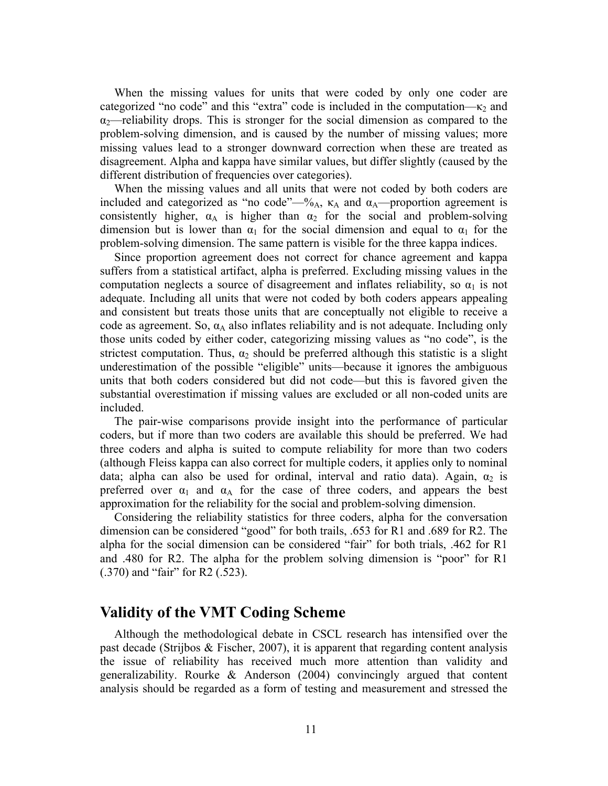When the missing values for units that were coded by only one coder are categorized "no code" and this "extra" code is included in the computation— $\kappa_2$  and  $\alpha_2$ —reliability drops. This is stronger for the social dimension as compared to the problem-solving dimension, and is caused by the number of missing values; more missing values lead to a stronger downward correction when these are treated as disagreement. Alpha and kappa have similar values, but differ slightly (caused by the different distribution of frequencies over categories).

When the missing values and all units that were not coded by both coders are included and categorized as "no code"— $\%$ <sub>A</sub>,  $\kappa_A$  and  $\alpha_A$ —proportion agreement is consistently higher,  $\alpha_A$  is higher than  $\alpha_2$  for the social and problem-solving dimension but is lower than  $\alpha_1$  for the social dimension and equal to  $\alpha_1$  for the problem-solving dimension. The same pattern is visible for the three kappa indices.

Since proportion agreement does not correct for chance agreement and kappa suffers from a statistical artifact, alpha is preferred. Excluding missing values in the computation neglects a source of disagreement and inflates reliability, so  $\alpha_1$  is not adequate. Including all units that were not coded by both coders appears appealing and consistent but treats those units that are conceptually not eligible to receive a code as agreement. So,  $\alpha_A$  also inflates reliability and is not adequate. Including only those units coded by either coder, categorizing missing values as "no code", is the strictest computation. Thus,  $\alpha_2$  should be preferred although this statistic is a slight underestimation of the possible "eligible" units—because it ignores the ambiguous units that both coders considered but did not code—but this is favored given the substantial overestimation if missing values are excluded or all non-coded units are included.

The pair-wise comparisons provide insight into the performance of particular coders, but if more than two coders are available this should be preferred. We had three coders and alpha is suited to compute reliability for more than two coders (although Fleiss kappa can also correct for multiple coders, it applies only to nominal data; alpha can also be used for ordinal, interval and ratio data). Again,  $\alpha_2$  is preferred over  $\alpha_1$  and  $\alpha_A$  for the case of three coders, and appears the best approximation for the reliability for the social and problem-solving dimension.

Considering the reliability statistics for three coders, alpha for the conversation dimension can be considered "good" for both trails, .653 for R1 and .689 for R2. The alpha for the social dimension can be considered "fair" for both trials, .462 for R1 and .480 for R2. The alpha for the problem solving dimension is "poor" for R1 (.370) and "fair" for R2 (.523).

# **Validity of the VMT Coding Scheme**

Although the methodological debate in CSCL research has intensified over the past decade (Strijbos & Fischer, 2007), it is apparent that regarding content analysis the issue of reliability has received much more attention than validity and generalizability. Rourke & Anderson (2004) convincingly argued that content analysis should be regarded as a form of testing and measurement and stressed the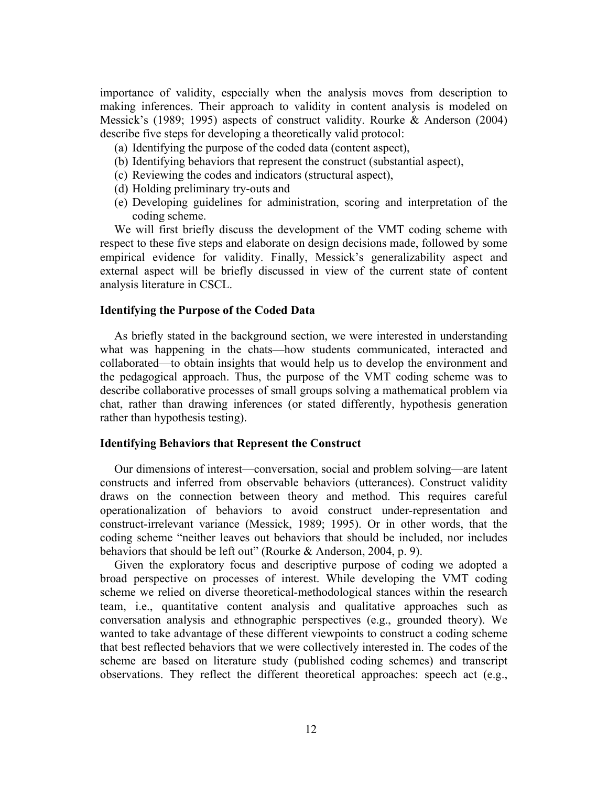importance of validity, especially when the analysis moves from description to making inferences. Their approach to validity in content analysis is modeled on Messick's (1989; 1995) aspects of construct validity. Rourke & Anderson (2004) describe five steps for developing a theoretically valid protocol:

- (a) Identifying the purpose of the coded data (content aspect),
- (b) Identifying behaviors that represent the construct (substantial aspect),
- (c) Reviewing the codes and indicators (structural aspect),
- (d) Holding preliminary try-outs and
- (e) Developing guidelines for administration, scoring and interpretation of the coding scheme.

We will first briefly discuss the development of the VMT coding scheme with respect to these five steps and elaborate on design decisions made, followed by some empirical evidence for validity. Finally, Messick's generalizability aspect and external aspect will be briefly discussed in view of the current state of content analysis literature in CSCL.

#### **Identifying the Purpose of the Coded Data**

As briefly stated in the background section, we were interested in understanding what was happening in the chats—how students communicated, interacted and collaborated—to obtain insights that would help us to develop the environment and the pedagogical approach. Thus, the purpose of the VMT coding scheme was to describe collaborative processes of small groups solving a mathematical problem via chat, rather than drawing inferences (or stated differently, hypothesis generation rather than hypothesis testing).

#### **Identifying Behaviors that Represent the Construct**

Our dimensions of interest—conversation, social and problem solving—are latent constructs and inferred from observable behaviors (utterances). Construct validity draws on the connection between theory and method. This requires careful operationalization of behaviors to avoid construct under-representation and construct-irrelevant variance (Messick, 1989; 1995). Or in other words, that the coding scheme "neither leaves out behaviors that should be included, nor includes behaviors that should be left out" (Rourke & Anderson, 2004, p. 9).

Given the exploratory focus and descriptive purpose of coding we adopted a broad perspective on processes of interest. While developing the VMT coding scheme we relied on diverse theoretical-methodological stances within the research team, i.e., quantitative content analysis and qualitative approaches such as conversation analysis and ethnographic perspectives (e.g., grounded theory). We wanted to take advantage of these different viewpoints to construct a coding scheme that best reflected behaviors that we were collectively interested in. The codes of the scheme are based on literature study (published coding schemes) and transcript observations. They reflect the different theoretical approaches: speech act (e.g.,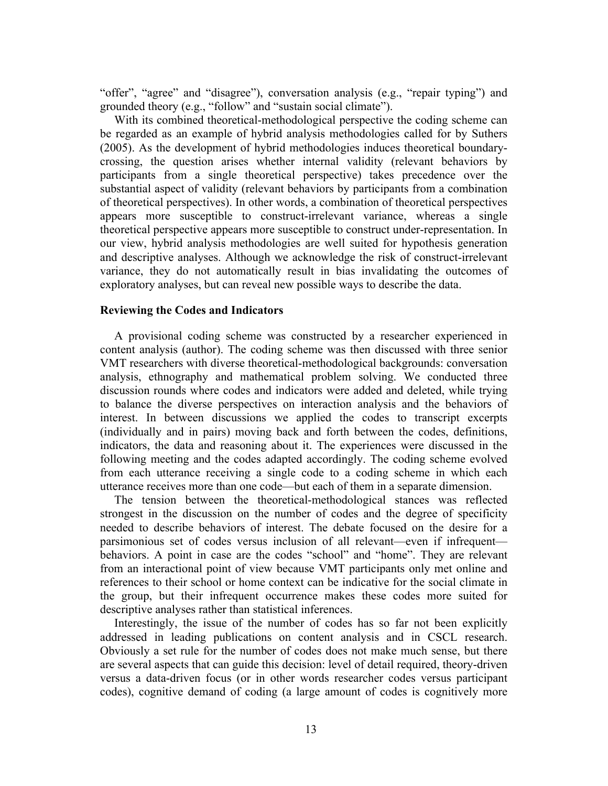"offer", "agree" and "disagree"), conversation analysis (e.g., "repair typing") and grounded theory (e.g., "follow" and "sustain social climate").

With its combined theoretical-methodological perspective the coding scheme can be regarded as an example of hybrid analysis methodologies called for by Suthers (2005). As the development of hybrid methodologies induces theoretical boundarycrossing, the question arises whether internal validity (relevant behaviors by participants from a single theoretical perspective) takes precedence over the substantial aspect of validity (relevant behaviors by participants from a combination of theoretical perspectives). In other words, a combination of theoretical perspectives appears more susceptible to construct-irrelevant variance, whereas a single theoretical perspective appears more susceptible to construct under-representation. In our view, hybrid analysis methodologies are well suited for hypothesis generation and descriptive analyses. Although we acknowledge the risk of construct-irrelevant variance, they do not automatically result in bias invalidating the outcomes of exploratory analyses, but can reveal new possible ways to describe the data.

#### **Reviewing the Codes and Indicators**

A provisional coding scheme was constructed by a researcher experienced in content analysis (author). The coding scheme was then discussed with three senior VMT researchers with diverse theoretical-methodological backgrounds: conversation analysis, ethnography and mathematical problem solving. We conducted three discussion rounds where codes and indicators were added and deleted, while trying to balance the diverse perspectives on interaction analysis and the behaviors of interest. In between discussions we applied the codes to transcript excerpts (individually and in pairs) moving back and forth between the codes, definitions, indicators, the data and reasoning about it. The experiences were discussed in the following meeting and the codes adapted accordingly. The coding scheme evolved from each utterance receiving a single code to a coding scheme in which each utterance receives more than one code—but each of them in a separate dimension.

The tension between the theoretical-methodological stances was reflected strongest in the discussion on the number of codes and the degree of specificity needed to describe behaviors of interest. The debate focused on the desire for a parsimonious set of codes versus inclusion of all relevant—even if infrequent behaviors. A point in case are the codes "school" and "home". They are relevant from an interactional point of view because VMT participants only met online and references to their school or home context can be indicative for the social climate in the group, but their infrequent occurrence makes these codes more suited for descriptive analyses rather than statistical inferences.

Interestingly, the issue of the number of codes has so far not been explicitly addressed in leading publications on content analysis and in CSCL research. Obviously a set rule for the number of codes does not make much sense, but there are several aspects that can guide this decision: level of detail required, theory-driven versus a data-driven focus (or in other words researcher codes versus participant codes), cognitive demand of coding (a large amount of codes is cognitively more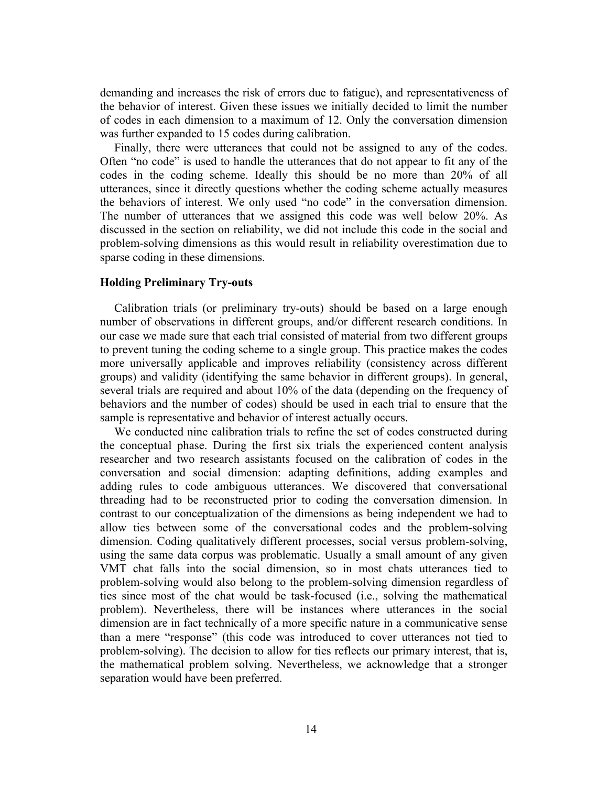demanding and increases the risk of errors due to fatigue), and representativeness of the behavior of interest. Given these issues we initially decided to limit the number of codes in each dimension to a maximum of 12. Only the conversation dimension was further expanded to 15 codes during calibration.

Finally, there were utterances that could not be assigned to any of the codes. Often "no code" is used to handle the utterances that do not appear to fit any of the codes in the coding scheme. Ideally this should be no more than 20% of all utterances, since it directly questions whether the coding scheme actually measures the behaviors of interest. We only used "no code" in the conversation dimension. The number of utterances that we assigned this code was well below 20%. As discussed in the section on reliability, we did not include this code in the social and problem-solving dimensions as this would result in reliability overestimation due to sparse coding in these dimensions.

#### **Holding Preliminary Try-outs**

Calibration trials (or preliminary try-outs) should be based on a large enough number of observations in different groups, and/or different research conditions. In our case we made sure that each trial consisted of material from two different groups to prevent tuning the coding scheme to a single group. This practice makes the codes more universally applicable and improves reliability (consistency across different groups) and validity (identifying the same behavior in different groups). In general, several trials are required and about 10% of the data (depending on the frequency of behaviors and the number of codes) should be used in each trial to ensure that the sample is representative and behavior of interest actually occurs.

We conducted nine calibration trials to refine the set of codes constructed during the conceptual phase. During the first six trials the experienced content analysis researcher and two research assistants focused on the calibration of codes in the conversation and social dimension: adapting definitions, adding examples and adding rules to code ambiguous utterances. We discovered that conversational threading had to be reconstructed prior to coding the conversation dimension. In contrast to our conceptualization of the dimensions as being independent we had to allow ties between some of the conversational codes and the problem-solving dimension. Coding qualitatively different processes, social versus problem-solving, using the same data corpus was problematic. Usually a small amount of any given VMT chat falls into the social dimension, so in most chats utterances tied to problem-solving would also belong to the problem-solving dimension regardless of ties since most of the chat would be task-focused (i.e., solving the mathematical problem). Nevertheless, there will be instances where utterances in the social dimension are in fact technically of a more specific nature in a communicative sense than a mere "response" (this code was introduced to cover utterances not tied to problem-solving). The decision to allow for ties reflects our primary interest, that is, the mathematical problem solving. Nevertheless, we acknowledge that a stronger separation would have been preferred.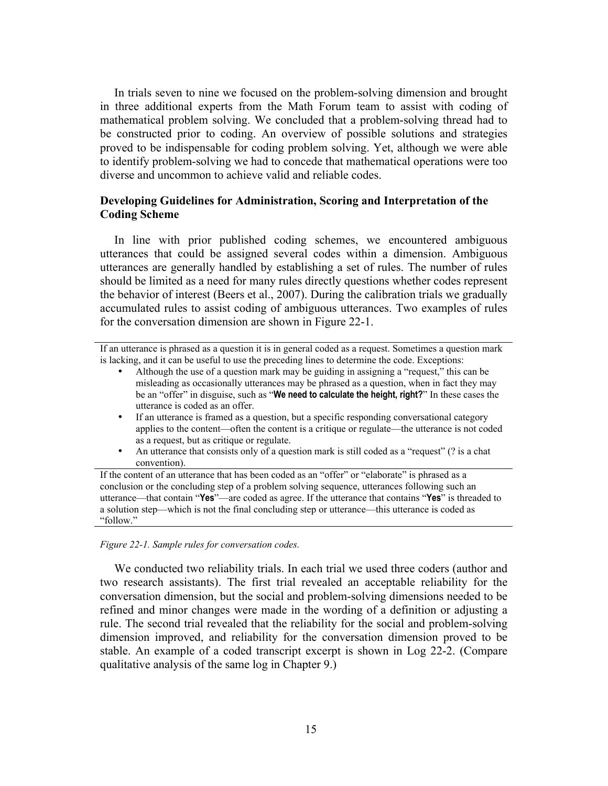In trials seven to nine we focused on the problem-solving dimension and brought in three additional experts from the Math Forum team to assist with coding of mathematical problem solving. We concluded that a problem-solving thread had to be constructed prior to coding. An overview of possible solutions and strategies proved to be indispensable for coding problem solving. Yet, although we were able to identify problem-solving we had to concede that mathematical operations were too diverse and uncommon to achieve valid and reliable codes.

#### **Developing Guidelines for Administration, Scoring and Interpretation of the Coding Scheme**

In line with prior published coding schemes, we encountered ambiguous utterances that could be assigned several codes within a dimension. Ambiguous utterances are generally handled by establishing a set of rules. The number of rules should be limited as a need for many rules directly questions whether codes represent the behavior of interest (Beers et al., 2007). During the calibration trials we gradually accumulated rules to assist coding of ambiguous utterances. Two examples of rules for the conversation dimension are shown in Figure 22-1.

If an utterance is phrased as a question it is in general coded as a request. Sometimes a question mark is lacking, and it can be useful to use the preceding lines to determine the code. Exceptions:

- Although the use of a question mark may be guiding in assigning a "request," this can be misleading as occasionally utterances may be phrased as a question, when in fact they may be an "offer" in disguise, such as "**We need to calculate the height, right?**" In these cases the utterance is coded as an offer.
- If an utterance is framed as a question, but a specific responding conversational category applies to the content—often the content is a critique or regulate—the utterance is not coded as a request, but as critique or regulate.
- An utterance that consists only of a question mark is still coded as a "request" (? is a chat convention).

If the content of an utterance that has been coded as an "offer" or "elaborate" is phrased as a conclusion or the concluding step of a problem solving sequence, utterances following such an utterance—that contain "**Yes**"—are coded as agree. If the utterance that contains "**Yes**" is threaded to a solution step—which is not the final concluding step or utterance—this utterance is coded as "follow."

#### *Figure 22-1. Sample rules for conversation codes.*

We conducted two reliability trials. In each trial we used three coders (author and two research assistants). The first trial revealed an acceptable reliability for the conversation dimension, but the social and problem-solving dimensions needed to be refined and minor changes were made in the wording of a definition or adjusting a rule. The second trial revealed that the reliability for the social and problem-solving dimension improved, and reliability for the conversation dimension proved to be stable. An example of a coded transcript excerpt is shown in Log 22-2. (Compare qualitative analysis of the same log in Chapter 9.)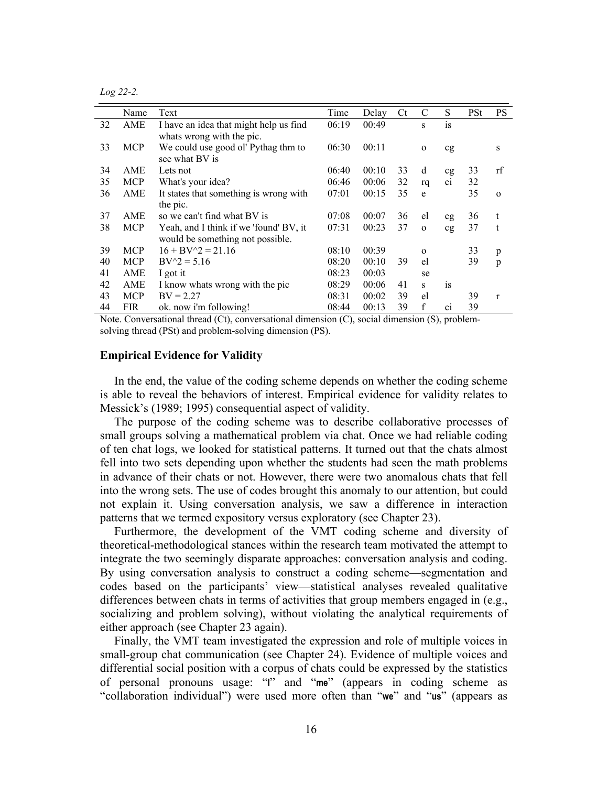*Log 22-2.*

|    | Name       | Text                                   | Time  | Delay | <b>Ct</b> | C        | S              | PSt | <b>PS</b> |
|----|------------|----------------------------------------|-------|-------|-----------|----------|----------------|-----|-----------|
| 32 | AME        | I have an idea that might help us find | 06:19 | 00:49 |           | S        | 1S             |     |           |
|    |            | whats wrong with the pic.              |       |       |           |          |                |     |           |
| 33 | <b>MCP</b> | We could use good ol' Pythag thm to    | 06:30 | 00:11 |           | $\Omega$ | cg             |     | S         |
|    |            | see what BV is                         |       |       |           |          |                |     |           |
| 34 | AME        | Lets not                               | 06:40 | 00:10 | 33        | d        | cg             | 33  | rf        |
| 35 | <b>MCP</b> | What's your idea?                      | 06:46 | 00:06 | 32        | rq       | $\overline{c}$ | 32  |           |
| 36 | <b>AME</b> | It states that something is wrong with | 07:01 | 00:15 | 35        | e        |                | 35  | $\Omega$  |
|    |            | the pic.                               |       |       |           |          |                |     |           |
| 37 | AME        | so we can't find what BV is            | 07:08 | 00:07 | 36        | el       | cg             | 36  | t         |
| 38 | <b>MCP</b> | Yeah, and I think if we 'found' BV, it | 07:31 | 00:23 | 37        | $\Omega$ | cg             | 37  | t         |
|    |            | would be something not possible.       |       |       |           |          |                |     |           |
| 39 | <b>MCP</b> | $16 + BV^2 = 21.16$                    | 08:10 | 00:39 |           | $\Omega$ |                | 33  | p         |
| 40 | <b>MCP</b> | $BV^2 = 5.16$                          | 08:20 | 00:10 | 39        | el       |                | 39  | p         |
| 41 | <b>AME</b> | 1 got it                               | 08:23 | 00:03 |           | se       |                |     |           |
| 42 | AME        | I know whats wrong with the pic        | 08:29 | 00:06 | 41        | S        | <sup>is</sup>  |     |           |
| 43 | <b>MCP</b> | $BV = 2.27$                            | 08:31 | 00:02 | 39        | el       |                | 39  | r         |
| 44 | <b>FIR</b> | ok. now i'm following!                 | 08:44 | 00:13 | 39        | f        | c <sub>1</sub> | 39  |           |

Note. Conversational thread (Ct), conversational dimension (C), social dimension (S), problemsolving thread (PSt) and problem-solving dimension (PS).

#### **Empirical Evidence for Validity**

In the end, the value of the coding scheme depends on whether the coding scheme is able to reveal the behaviors of interest. Empirical evidence for validity relates to Messick's (1989; 1995) consequential aspect of validity.

The purpose of the coding scheme was to describe collaborative processes of small groups solving a mathematical problem via chat. Once we had reliable coding of ten chat logs, we looked for statistical patterns. It turned out that the chats almost fell into two sets depending upon whether the students had seen the math problems in advance of their chats or not. However, there were two anomalous chats that fell into the wrong sets. The use of codes brought this anomaly to our attention, but could not explain it. Using conversation analysis, we saw a difference in interaction patterns that we termed expository versus exploratory (see Chapter 23).

Furthermore, the development of the VMT coding scheme and diversity of theoretical-methodological stances within the research team motivated the attempt to integrate the two seemingly disparate approaches: conversation analysis and coding. By using conversation analysis to construct a coding scheme—segmentation and codes based on the participants' view—statistical analyses revealed qualitative differences between chats in terms of activities that group members engaged in (e.g., socializing and problem solving), without violating the analytical requirements of either approach (see Chapter 23 again).

Finally, the VMT team investigated the expression and role of multiple voices in small-group chat communication (see Chapter 24). Evidence of multiple voices and differential social position with a corpus of chats could be expressed by the statistics of personal pronouns usage: "**I**" and "**me**" (appears in coding scheme as "collaboration individual") were used more often than "**we**" and "**us**" (appears as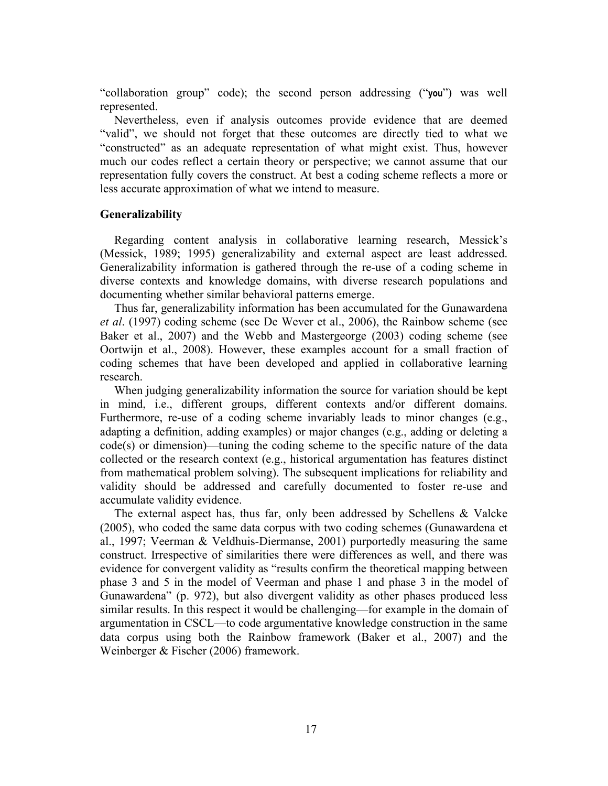"collaboration group" code); the second person addressing ("**you**") was well represented.

Nevertheless, even if analysis outcomes provide evidence that are deemed "valid", we should not forget that these outcomes are directly tied to what we "constructed" as an adequate representation of what might exist. Thus, however much our codes reflect a certain theory or perspective; we cannot assume that our representation fully covers the construct. At best a coding scheme reflects a more or less accurate approximation of what we intend to measure.

#### **Generalizability**

Regarding content analysis in collaborative learning research, Messick's (Messick, 1989; 1995) generalizability and external aspect are least addressed. Generalizability information is gathered through the re-use of a coding scheme in diverse contexts and knowledge domains, with diverse research populations and documenting whether similar behavioral patterns emerge.

Thus far, generalizability information has been accumulated for the Gunawardena *et al*. (1997) coding scheme (see De Wever et al., 2006), the Rainbow scheme (see Baker et al., 2007) and the Webb and Mastergeorge (2003) coding scheme (see Oortwijn et al., 2008). However, these examples account for a small fraction of coding schemes that have been developed and applied in collaborative learning research.

When judging generalizability information the source for variation should be kept in mind, i.e., different groups, different contexts and/or different domains. Furthermore, re-use of a coding scheme invariably leads to minor changes (e.g., adapting a definition, adding examples) or major changes (e.g., adding or deleting a code(s) or dimension)—tuning the coding scheme to the specific nature of the data collected or the research context (e.g., historical argumentation has features distinct from mathematical problem solving). The subsequent implications for reliability and validity should be addressed and carefully documented to foster re-use and accumulate validity evidence.

The external aspect has, thus far, only been addressed by Schellens & Valcke (2005), who coded the same data corpus with two coding schemes (Gunawardena et al., 1997; Veerman & Veldhuis-Diermanse, 2001) purportedly measuring the same construct. Irrespective of similarities there were differences as well, and there was evidence for convergent validity as "results confirm the theoretical mapping between phase 3 and 5 in the model of Veerman and phase 1 and phase 3 in the model of Gunawardena" (p. 972), but also divergent validity as other phases produced less similar results. In this respect it would be challenging—for example in the domain of argumentation in CSCL—to code argumentative knowledge construction in the same data corpus using both the Rainbow framework (Baker et al., 2007) and the Weinberger & Fischer (2006) framework.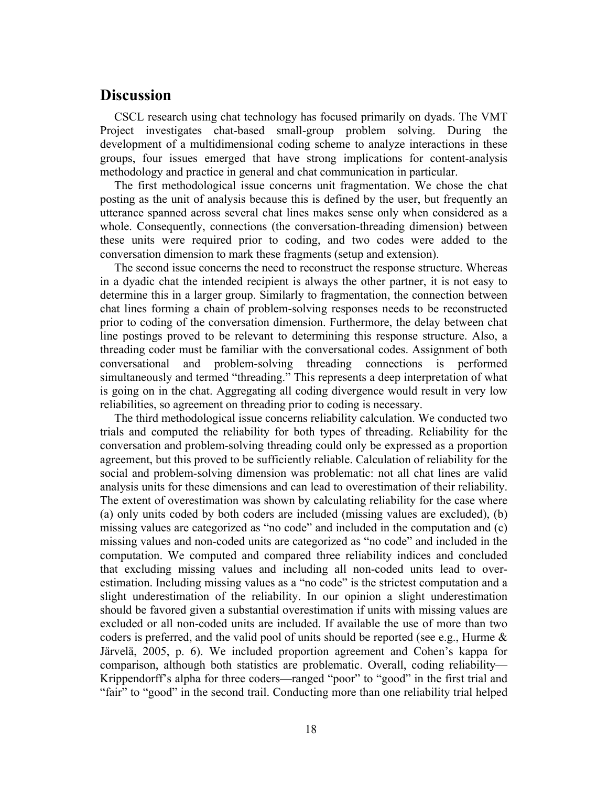### **Discussion**

CSCL research using chat technology has focused primarily on dyads. The VMT Project investigates chat-based small-group problem solving. During the development of a multidimensional coding scheme to analyze interactions in these groups, four issues emerged that have strong implications for content-analysis methodology and practice in general and chat communication in particular.

The first methodological issue concerns unit fragmentation. We chose the chat posting as the unit of analysis because this is defined by the user, but frequently an utterance spanned across several chat lines makes sense only when considered as a whole. Consequently, connections (the conversation-threading dimension) between these units were required prior to coding, and two codes were added to the conversation dimension to mark these fragments (setup and extension).

The second issue concerns the need to reconstruct the response structure. Whereas in a dyadic chat the intended recipient is always the other partner, it is not easy to determine this in a larger group. Similarly to fragmentation, the connection between chat lines forming a chain of problem-solving responses needs to be reconstructed prior to coding of the conversation dimension. Furthermore, the delay between chat line postings proved to be relevant to determining this response structure. Also, a threading coder must be familiar with the conversational codes. Assignment of both conversational and problem-solving threading connections is performed simultaneously and termed "threading." This represents a deep interpretation of what is going on in the chat. Aggregating all coding divergence would result in very low reliabilities, so agreement on threading prior to coding is necessary.

The third methodological issue concerns reliability calculation. We conducted two trials and computed the reliability for both types of threading. Reliability for the conversation and problem-solving threading could only be expressed as a proportion agreement, but this proved to be sufficiently reliable. Calculation of reliability for the social and problem-solving dimension was problematic: not all chat lines are valid analysis units for these dimensions and can lead to overestimation of their reliability. The extent of overestimation was shown by calculating reliability for the case where (a) only units coded by both coders are included (missing values are excluded), (b) missing values are categorized as "no code" and included in the computation and (c) missing values and non-coded units are categorized as "no code" and included in the computation. We computed and compared three reliability indices and concluded that excluding missing values and including all non-coded units lead to overestimation. Including missing values as a "no code" is the strictest computation and a slight underestimation of the reliability. In our opinion a slight underestimation should be favored given a substantial overestimation if units with missing values are excluded or all non-coded units are included. If available the use of more than two coders is preferred, and the valid pool of units should be reported (see e.g., Hurme & Järvelä, 2005, p. 6). We included proportion agreement and Cohen's kappa for comparison, although both statistics are problematic. Overall, coding reliability— Krippendorff's alpha for three coders—ranged "poor" to "good" in the first trial and "fair" to "good" in the second trail. Conducting more than one reliability trial helped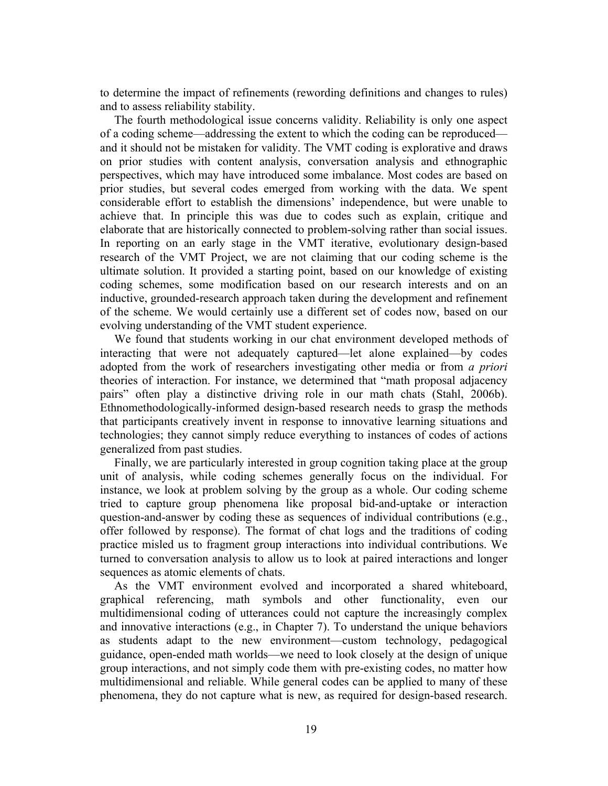to determine the impact of refinements (rewording definitions and changes to rules) and to assess reliability stability.

The fourth methodological issue concerns validity. Reliability is only one aspect of a coding scheme—addressing the extent to which the coding can be reproduced and it should not be mistaken for validity. The VMT coding is explorative and draws on prior studies with content analysis, conversation analysis and ethnographic perspectives, which may have introduced some imbalance. Most codes are based on prior studies, but several codes emerged from working with the data. We spent considerable effort to establish the dimensions' independence, but were unable to achieve that. In principle this was due to codes such as explain, critique and elaborate that are historically connected to problem-solving rather than social issues. In reporting on an early stage in the VMT iterative, evolutionary design-based research of the VMT Project, we are not claiming that our coding scheme is the ultimate solution. It provided a starting point, based on our knowledge of existing coding schemes, some modification based on our research interests and on an inductive, grounded-research approach taken during the development and refinement of the scheme. We would certainly use a different set of codes now, based on our evolving understanding of the VMT student experience.

We found that students working in our chat environment developed methods of interacting that were not adequately captured—let alone explained—by codes adopted from the work of researchers investigating other media or from *a priori* theories of interaction. For instance, we determined that "math proposal adjacency pairs" often play a distinctive driving role in our math chats (Stahl, 2006b). Ethnomethodologically-informed design-based research needs to grasp the methods that participants creatively invent in response to innovative learning situations and technologies; they cannot simply reduce everything to instances of codes of actions generalized from past studies.

Finally, we are particularly interested in group cognition taking place at the group unit of analysis, while coding schemes generally focus on the individual. For instance, we look at problem solving by the group as a whole. Our coding scheme tried to capture group phenomena like proposal bid-and-uptake or interaction question-and-answer by coding these as sequences of individual contributions (e.g., offer followed by response). The format of chat logs and the traditions of coding practice misled us to fragment group interactions into individual contributions. We turned to conversation analysis to allow us to look at paired interactions and longer sequences as atomic elements of chats.

As the VMT environment evolved and incorporated a shared whiteboard, graphical referencing, math symbols and other functionality, even our multidimensional coding of utterances could not capture the increasingly complex and innovative interactions (e.g., in Chapter 7). To understand the unique behaviors as students adapt to the new environment—custom technology, pedagogical guidance, open-ended math worlds—we need to look closely at the design of unique group interactions, and not simply code them with pre-existing codes, no matter how multidimensional and reliable. While general codes can be applied to many of these phenomena, they do not capture what is new, as required for design-based research.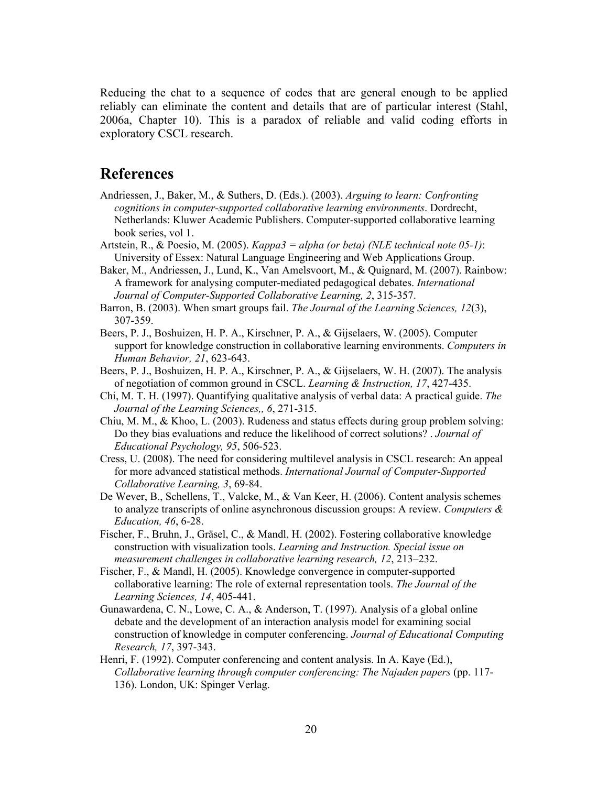Reducing the chat to a sequence of codes that are general enough to be applied reliably can eliminate the content and details that are of particular interest (Stahl, 2006a, Chapter 10). This is a paradox of reliable and valid coding efforts in exploratory CSCL research.

# **References**

- Andriessen, J., Baker, M., & Suthers, D. (Eds.). (2003). *Arguing to learn: Confronting cognitions in computer-supported collaborative learning environments*. Dordrecht, Netherlands: Kluwer Academic Publishers. Computer-supported collaborative learning book series, vol 1.
- Artstein, R., & Poesio, M. (2005). *Kappa3 = alpha (or beta) (NLE technical note 05-1)*: University of Essex: Natural Language Engineering and Web Applications Group.
- Baker, M., Andriessen, J., Lund, K., Van Amelsvoort, M., & Quignard, M. (2007). Rainbow: A framework for analysing computer-mediated pedagogical debates. *International Journal of Computer-Supported Collaborative Learning, 2*, 315-357.
- Barron, B. (2003). When smart groups fail. *The Journal of the Learning Sciences, 12*(3), 307-359.
- Beers, P. J., Boshuizen, H. P. A., Kirschner, P. A., & Gijselaers, W. (2005). Computer support for knowledge construction in collaborative learning environments. *Computers in Human Behavior, 21*, 623-643.
- Beers, P. J., Boshuizen, H. P. A., Kirschner, P. A., & Gijselaers, W. H. (2007). The analysis of negotiation of common ground in CSCL. *Learning & Instruction, 17*, 427-435.
- Chi, M. T. H. (1997). Quantifying qualitative analysis of verbal data: A practical guide. *The Journal of the Learning Sciences,, 6*, 271-315.
- Chiu, M. M., & Khoo, L. (2003). Rudeness and status effects during group problem solving: Do they bias evaluations and reduce the likelihood of correct solutions? . *Journal of Educational Psychology, 95*, 506-523.
- Cress, U. (2008). The need for considering multilevel analysis in CSCL research: An appeal for more advanced statistical methods. *International Journal of Computer-Supported Collaborative Learning, 3*, 69-84.
- De Wever, B., Schellens, T., Valcke, M., & Van Keer, H. (2006). Content analysis schemes to analyze transcripts of online asynchronous discussion groups: A review. *Computers & Education, 46*, 6-28.
- Fischer, F., Bruhn, J., Gräsel, C., & Mandl, H. (2002). Fostering collaborative knowledge construction with visualization tools. *Learning and Instruction. Special issue on measurement challenges in collaborative learning research, 12*, 213–232.
- Fischer, F., & Mandl, H. (2005). Knowledge convergence in computer-supported collaborative learning: The role of external representation tools. *The Journal of the Learning Sciences, 14*, 405-441.
- Gunawardena, C. N., Lowe, C. A., & Anderson, T. (1997). Analysis of a global online debate and the development of an interaction analysis model for examining social construction of knowledge in computer conferencing. *Journal of Educational Computing Research, 17*, 397-343.
- Henri, F. (1992). Computer conferencing and content analysis. In A. Kaye (Ed.), *Collaborative learning through computer conferencing: The Najaden papers* (pp. 117- 136). London, UK: Spinger Verlag.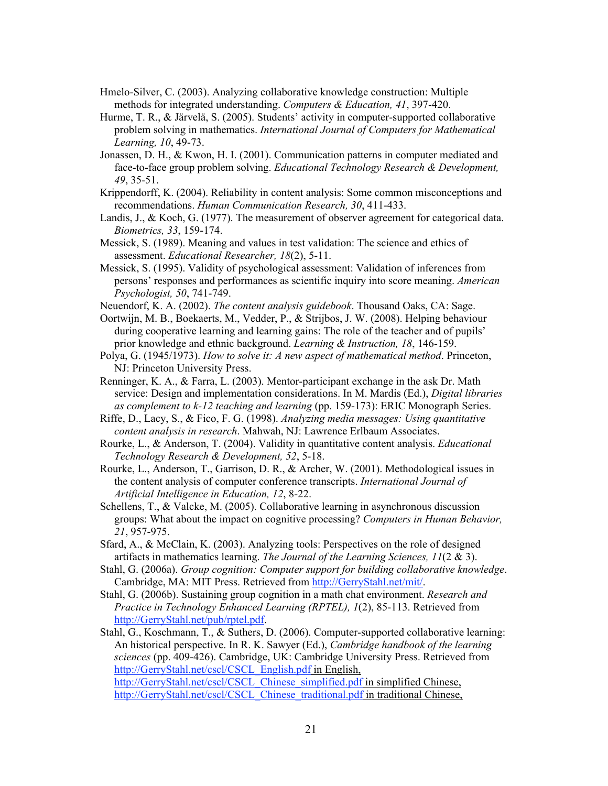- Hmelo-Silver, C. (2003). Analyzing collaborative knowledge construction: Multiple methods for integrated understanding. *Computers & Education, 41*, 397-420.
- Hurme, T. R., & Järvelä, S. (2005). Students' activity in computer-supported collaborative problem solving in mathematics. *International Journal of Computers for Mathematical Learning, 10*, 49-73.
- Jonassen, D. H., & Kwon, H. I. (2001). Communication patterns in computer mediated and face-to-face group problem solving. *Educational Technology Research & Development, 49*, 35-51.
- Krippendorff, K. (2004). Reliability in content analysis: Some common misconceptions and recommendations. *Human Communication Research, 30*, 411-433.
- Landis, J., & Koch, G. (1977). The measurement of observer agreement for categorical data. *Biometrics, 33*, 159-174.
- Messick, S. (1989). Meaning and values in test validation: The science and ethics of assessment. *Educational Researcher, 18*(2), 5-11.
- Messick, S. (1995). Validity of psychological assessment: Validation of inferences from persons' responses and performances as scientific inquiry into score meaning. *American Psychologist, 50*, 741-749.
- Neuendorf, K. A. (2002). *The content analysis guidebook*. Thousand Oaks, CA: Sage.
- Oortwijn, M. B., Boekaerts, M., Vedder, P., & Strijbos, J. W. (2008). Helping behaviour during cooperative learning and learning gains: The role of the teacher and of pupils' prior knowledge and ethnic background. *Learning & Instruction, 18*, 146-159.
- Polya, G. (1945/1973). *How to solve it: A new aspect of mathematical method*. Princeton, NJ: Princeton University Press.
- Renninger, K. A., & Farra, L. (2003). Mentor-participant exchange in the ask Dr. Math service: Design and implementation considerations. In M. Mardis (Ed.), *Digital libraries as complement to k-12 teaching and learning* (pp. 159-173): ERIC Monograph Series.
- Riffe, D., Lacy, S., & Fico, F. G. (1998). *Analyzing media messages: Using quantitative content analysis in research*. Mahwah, NJ: Lawrence Erlbaum Associates.
- Rourke, L., & Anderson, T. (2004). Validity in quantitative content analysis. *Educational Technology Research & Development, 52*, 5-18.
- Rourke, L., Anderson, T., Garrison, D. R., & Archer, W. (2001). Methodological issues in the content analysis of computer conference transcripts. *International Journal of Artificial Intelligence in Education, 12*, 8-22.
- Schellens, T., & Valcke, M. (2005). Collaborative learning in asynchronous discussion groups: What about the impact on cognitive processing? *Computers in Human Behavior, 21*, 957-975.
- Sfard, A., & McClain, K. (2003). Analyzing tools: Perspectives on the role of designed artifacts in mathematics learning. *The Journal of the Learning Sciences, 11*(2 & 3).
- Stahl, G. (2006a). *Group cognition: Computer support for building collaborative knowledge*. Cambridge, MA: MIT Press. Retrieved from http://GerryStahl.net/mit/.
- Stahl, G. (2006b). Sustaining group cognition in a math chat environment. *Research and Practice in Technology Enhanced Learning (RPTEL), 1*(2), 85-113. Retrieved from http://GerryStahl.net/pub/rptel.pdf.
- Stahl, G., Koschmann, T., & Suthers, D. (2006). Computer-supported collaborative learning: An historical perspective. In R. K. Sawyer (Ed.), *Cambridge handbook of the learning sciences* (pp. 409-426). Cambridge, UK: Cambridge University Press. Retrieved from http://GerryStahl.net/cscl/CSCL\_English.pdf in English, http://GerryStahl.net/cscl/CSCL\_Chinese\_simplified.pdf in simplified Chinese, http://GerryStahl.net/cscl/CSCL\_Chinese\_traditional.pdf in traditional Chinese,